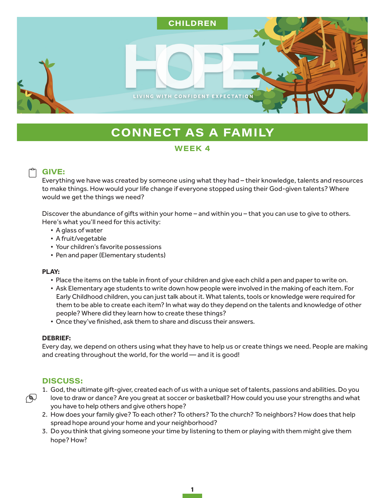

# **CONNECT AS A FAMILY**

## WEEK 4

# **GIVE:**

Everything we have was created by someone using what they had – their knowledge, talents and resources to make things. How would your life change if everyone stopped using their God-given talents? Where would we get the things we need?

Discover the abundance of gifts within your home – and within you – that you can use to give to others. Here's what you'll need for this activity:

- A glass of water
- A fruit/vegetable
- Your children's favorite possessions
- Pen and paper (Elementary students)

### **PLAY:**

- Place the items on the table in front of your children and give each child a pen and paper to write on.
- Ask Elementary age students to write down how people were involved in the making of each item. For Early Childhood children, you can just talk about it. What talents, tools or knowledge were required for them to be able to create each item? In what way do they depend on the talents and knowledge of other people? Where did they learn how to create these things?
- Once they've finished, ask them to share and discuss their answers.

## **DEBRIEF:**

Every day, we depend on others using what they have to help us or create things we need. People are making and creating throughout the world, for the world — and it is good!

# **DISCUSS:**

ক্ষ

- 1. God, the ultimate gift-giver, created each of us with a unique set of talents, passions and abilities. Do you
- love to draw or dance? Are you great at soccer or basketball? How could you use your strengths and what you have to help others and give others hope?
- 2. How does your family give? To each other? To others? To the church? To neighbors? How does that help spread hope around your home and your neighborhood?
- 3. Do you think that giving someone your time by listening to them or playing with them might give them hope? How?

1